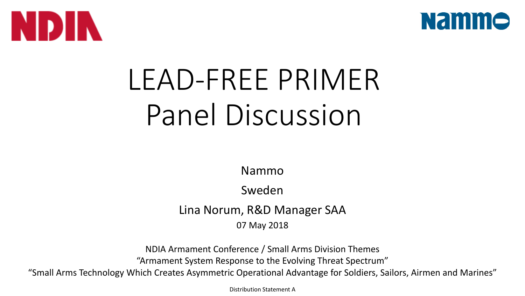



## LEAD-FREE PRIMER Panel Discussion

Nammo

Sweden

Lina Norum, R&D Manager SAA

07 May 2018

NDIA Armament Conference / Small Arms Division Themes "Armament System Response to the Evolving Threat Spectrum"

"Small Arms Technology Which Creates Asymmetric Operational Advantage for Soldiers, Sailors, Airmen and Marines"

Distribution Statement A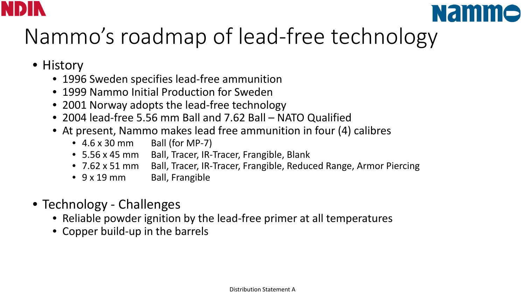



## Nammo's roadmap of lead-free technology

- History
	- 1996 Sweden specifies lead-free ammunition
	- 1999 Nammo Initial Production for Sweden
	- 2001 Norway adopts the lead-free technology
	- 2004 lead-free 5.56 mm Ball and 7.62 Ball NATO Qualified
	- At present, Nammo makes lead free ammunition in four (4) calibres
		- $\bullet$  4.6 x 30 mm Ball (for MP-7)
		- 5.56 x 45 mm Ball, Tracer, IR-Tracer, Frangible, Blank
		- 7.62 x 51 mm Ball, Tracer, IR-Tracer, Frangible, Reduced Range, Armor Piercing
		- 9 x 19 mm Ball, Frangible
- Technology Challenges
	- Reliable powder ignition by the lead-free primer at all temperatures
	- Copper build-up in the barrels